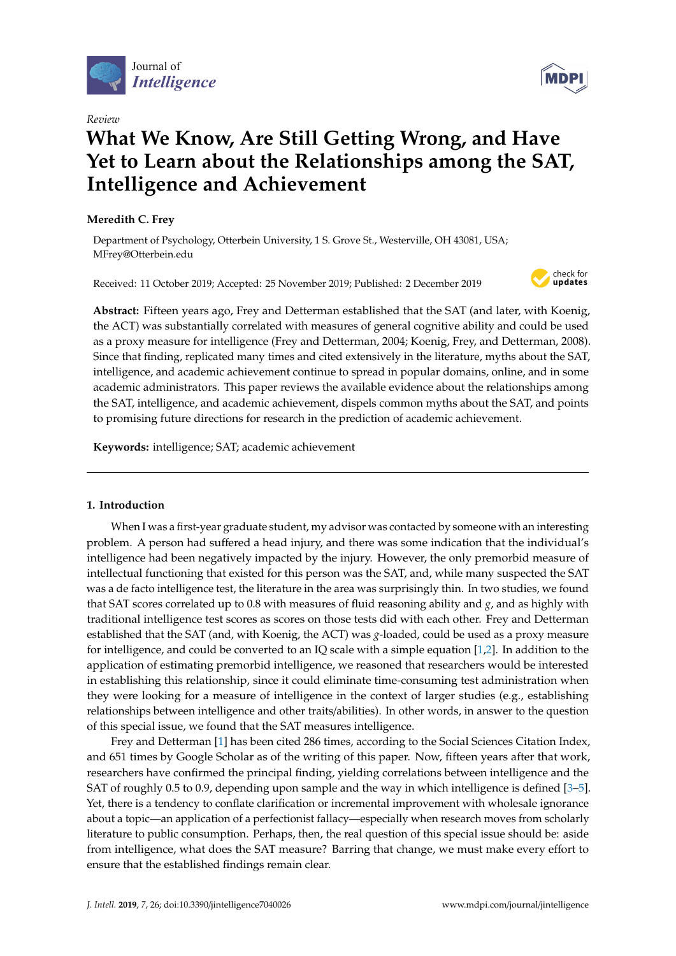

*Review*

# **What We Know, Are Still Getting Wrong, and Have Yet to Learn about the Relationships among the SAT, Intelligence and Achievement**

# **Meredith C. Frey**

Department of Psychology, Otterbein University, 1 S. Grove St., Westerville, OH 43081, USA; MFrey@Otterbein.edu

Received: 11 October 2019; Accepted: 25 November 2019; Published: 2 December 2019



**Abstract:** Fifteen years ago, Frey and Detterman established that the SAT (and later, with Koenig, the ACT) was substantially correlated with measures of general cognitive ability and could be used as a proxy measure for intelligence (Frey and Detterman, 2004; Koenig, Frey, and Detterman, 2008). Since that finding, replicated many times and cited extensively in the literature, myths about the SAT, intelligence, and academic achievement continue to spread in popular domains, online, and in some academic administrators. This paper reviews the available evidence about the relationships among the SAT, intelligence, and academic achievement, dispels common myths about the SAT, and points to promising future directions for research in the prediction of academic achievement.

**Keywords:** intelligence; SAT; academic achievement

# **1. Introduction**

When I was a first-year graduate student, my advisor was contacted by someone with an interesting problem. A person had suffered a head injury, and there was some indication that the individual's intelligence had been negatively impacted by the injury. However, the only premorbid measure of intellectual functioning that existed for this person was the SAT, and, while many suspected the SAT was a de facto intelligence test, the literature in the area was surprisingly thin. In two studies, we found that SAT scores correlated up to 0.8 with measures of fluid reasoning ability and *g*, and as highly with traditional intelligence test scores as scores on those tests did with each other. Frey and Detterman established that the SAT (and, with Koenig, the ACT) was *g*-loaded, could be used as a proxy measure for intelligence, and could be converted to an IQ scale with a simple equation [\[1,](#page-4-0)[2\]](#page-4-1). In addition to the application of estimating premorbid intelligence, we reasoned that researchers would be interested in establishing this relationship, since it could eliminate time-consuming test administration when they were looking for a measure of intelligence in the context of larger studies (e.g., establishing relationships between intelligence and other traits/abilities). In other words, in answer to the question of this special issue, we found that the SAT measures intelligence.

Frey and Detterman [\[1\]](#page-4-0) has been cited 286 times, according to the Social Sciences Citation Index, and 651 times by Google Scholar as of the writing of this paper. Now, fifteen years after that work, researchers have confirmed the principal finding, yielding correlations between intelligence and the SAT of roughly 0.5 to 0.9, depending upon sample and the way in which intelligence is defined [\[3–](#page-4-2)[5\]](#page-4-3). Yet, there is a tendency to conflate clarification or incremental improvement with wholesale ignorance about a topic—an application of a perfectionist fallacy—especially when research moves from scholarly literature to public consumption. Perhaps, then, the real question of this special issue should be: aside from intelligence, what does the SAT measure? Barring that change, we must make every effort to ensure that the established findings remain clear.

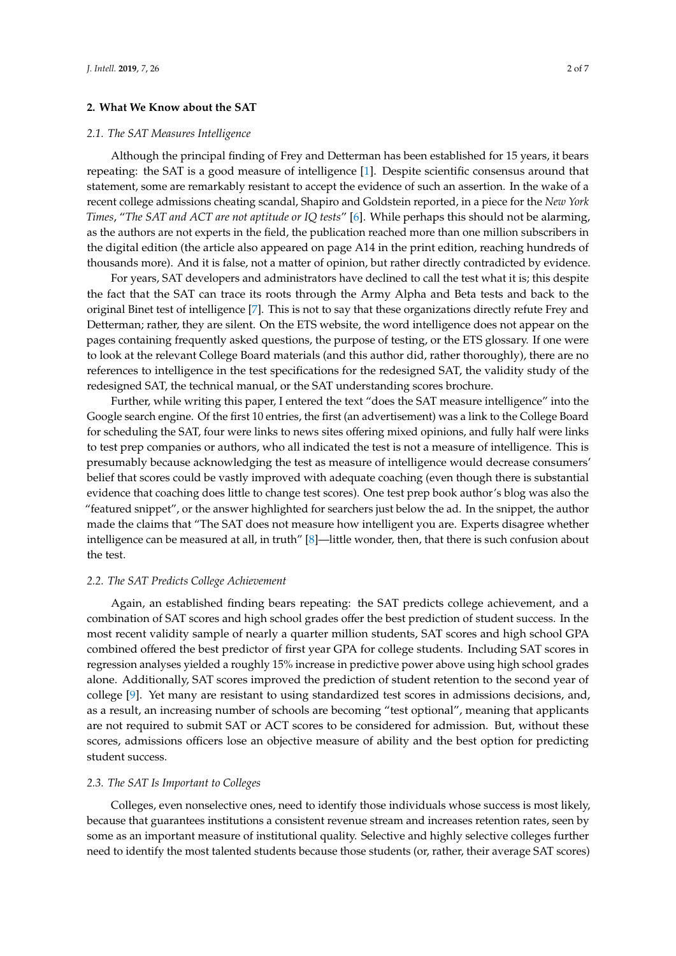# **2. What We Know about the SAT**

## *2.1. The SAT Measures Intelligence*

Although the principal finding of Frey and Detterman has been established for 15 years, it bears repeating: the SAT is a good measure of intelligence [\[1\]](#page-4-0). Despite scientific consensus around that statement, some are remarkably resistant to accept the evidence of such an assertion. In the wake of a recent college admissions cheating scandal, Shapiro and Goldstein reported, in a piece for the *New York Times*, "*The SAT and ACT are not aptitude or IQ tests*" [\[6\]](#page-4-4). While perhaps this should not be alarming, as the authors are not experts in the field, the publication reached more than one million subscribers in the digital edition (the article also appeared on page A14 in the print edition, reaching hundreds of thousands more). And it is false, not a matter of opinion, but rather directly contradicted by evidence.

For years, SAT developers and administrators have declined to call the test what it is; this despite the fact that the SAT can trace its roots through the Army Alpha and Beta tests and back to the original Binet test of intelligence [\[7\]](#page-4-5). This is not to say that these organizations directly refute Frey and Detterman; rather, they are silent. On the ETS website, the word intelligence does not appear on the pages containing frequently asked questions, the purpose of testing, or the ETS glossary. If one were to look at the relevant College Board materials (and this author did, rather thoroughly), there are no references to intelligence in the test specifications for the redesigned SAT, the validity study of the redesigned SAT, the technical manual, or the SAT understanding scores brochure.

Further, while writing this paper, I entered the text "does the SAT measure intelligence" into the Google search engine. Of the first 10 entries, the first (an advertisement) was a link to the College Board for scheduling the SAT, four were links to news sites offering mixed opinions, and fully half were links to test prep companies or authors, who all indicated the test is not a measure of intelligence. This is presumably because acknowledging the test as measure of intelligence would decrease consumers' belief that scores could be vastly improved with adequate coaching (even though there is substantial evidence that coaching does little to change test scores). One test prep book author's blog was also the "featured snippet", or the answer highlighted for searchers just below the ad. In the snippet, the author made the claims that "The SAT does not measure how intelligent you are. Experts disagree whether intelligence can be measured at all, in truth" [\[8\]](#page-4-6)—little wonder, then, that there is such confusion about the test.

# *2.2. The SAT Predicts College Achievement*

Again, an established finding bears repeating: the SAT predicts college achievement, and a combination of SAT scores and high school grades offer the best prediction of student success. In the most recent validity sample of nearly a quarter million students, SAT scores and high school GPA combined offered the best predictor of first year GPA for college students. Including SAT scores in regression analyses yielded a roughly 15% increase in predictive power above using high school grades alone. Additionally, SAT scores improved the prediction of student retention to the second year of college [\[9\]](#page-5-0). Yet many are resistant to using standardized test scores in admissions decisions, and, as a result, an increasing number of schools are becoming "test optional", meaning that applicants are not required to submit SAT or ACT scores to be considered for admission. But, without these scores, admissions officers lose an objective measure of ability and the best option for predicting student success.

## *2.3. The SAT Is Important to Colleges*

Colleges, even nonselective ones, need to identify those individuals whose success is most likely, because that guarantees institutions a consistent revenue stream and increases retention rates, seen by some as an important measure of institutional quality. Selective and highly selective colleges further need to identify the most talented students because those students (or, rather, their average SAT scores)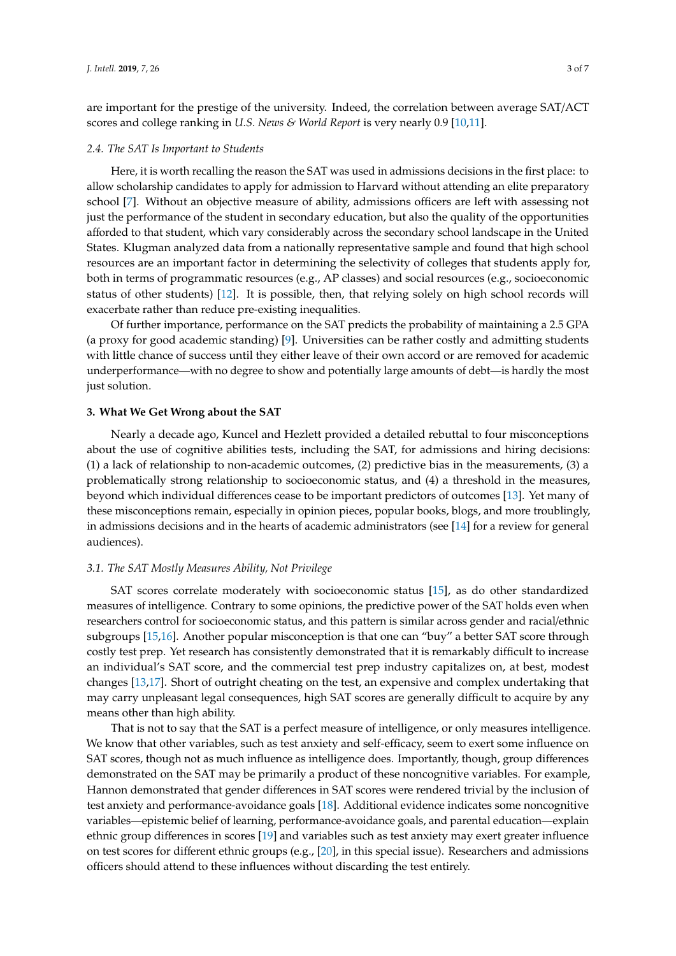are important for the prestige of the university. Indeed, the correlation between average SAT/ACT scores and college ranking in *U.S. News & World Report* is very nearly 0.9 [\[10,](#page-5-1)[11\]](#page-5-2).

#### *2.4. The SAT Is Important to Students*

Here, it is worth recalling the reason the SAT was used in admissions decisions in the first place: to allow scholarship candidates to apply for admission to Harvard without attending an elite preparatory school [\[7\]](#page-4-5). Without an objective measure of ability, admissions officers are left with assessing not just the performance of the student in secondary education, but also the quality of the opportunities afforded to that student, which vary considerably across the secondary school landscape in the United States. Klugman analyzed data from a nationally representative sample and found that high school resources are an important factor in determining the selectivity of colleges that students apply for, both in terms of programmatic resources (e.g., AP classes) and social resources (e.g., socioeconomic status of other students) [\[12\]](#page-5-3). It is possible, then, that relying solely on high school records will exacerbate rather than reduce pre-existing inequalities.

Of further importance, performance on the SAT predicts the probability of maintaining a 2.5 GPA (a proxy for good academic standing) [\[9\]](#page-5-0). Universities can be rather costly and admitting students with little chance of success until they either leave of their own accord or are removed for academic underperformance—with no degree to show and potentially large amounts of debt—is hardly the most just solution.

#### **3. What We Get Wrong about the SAT**

Nearly a decade ago, Kuncel and Hezlett provided a detailed rebuttal to four misconceptions about the use of cognitive abilities tests, including the SAT, for admissions and hiring decisions: (1) a lack of relationship to non-academic outcomes, (2) predictive bias in the measurements, (3) a problematically strong relationship to socioeconomic status, and (4) a threshold in the measures, beyond which individual differences cease to be important predictors of outcomes [\[13\]](#page-5-4). Yet many of these misconceptions remain, especially in opinion pieces, popular books, blogs, and more troublingly, in admissions decisions and in the hearts of academic administrators (see [\[14\]](#page-5-5) for a review for general audiences).

#### *3.1. The SAT Mostly Measures Ability, Not Privilege*

SAT scores correlate moderately with socioeconomic status [\[15\]](#page-5-6), as do other standardized measures of intelligence. Contrary to some opinions, the predictive power of the SAT holds even when researchers control for socioeconomic status, and this pattern is similar across gender and racial/ethnic subgroups [\[15](#page-5-6)[,16\]](#page-5-7). Another popular misconception is that one can "buy" a better SAT score through costly test prep. Yet research has consistently demonstrated that it is remarkably difficult to increase an individual's SAT score, and the commercial test prep industry capitalizes on, at best, modest changes [\[13,](#page-5-4)[17\]](#page-5-8). Short of outright cheating on the test, an expensive and complex undertaking that may carry unpleasant legal consequences, high SAT scores are generally difficult to acquire by any means other than high ability.

That is not to say that the SAT is a perfect measure of intelligence, or only measures intelligence. We know that other variables, such as test anxiety and self-efficacy, seem to exert some influence on SAT scores, though not as much influence as intelligence does. Importantly, though, group differences demonstrated on the SAT may be primarily a product of these noncognitive variables. For example, Hannon demonstrated that gender differences in SAT scores were rendered trivial by the inclusion of test anxiety and performance-avoidance goals [\[18\]](#page-5-9). Additional evidence indicates some noncognitive variables—epistemic belief of learning, performance-avoidance goals, and parental education—explain ethnic group differences in scores [\[19\]](#page-5-10) and variables such as test anxiety may exert greater influence on test scores for different ethnic groups (e.g., [\[20\]](#page-5-11), in this special issue). Researchers and admissions officers should attend to these influences without discarding the test entirely.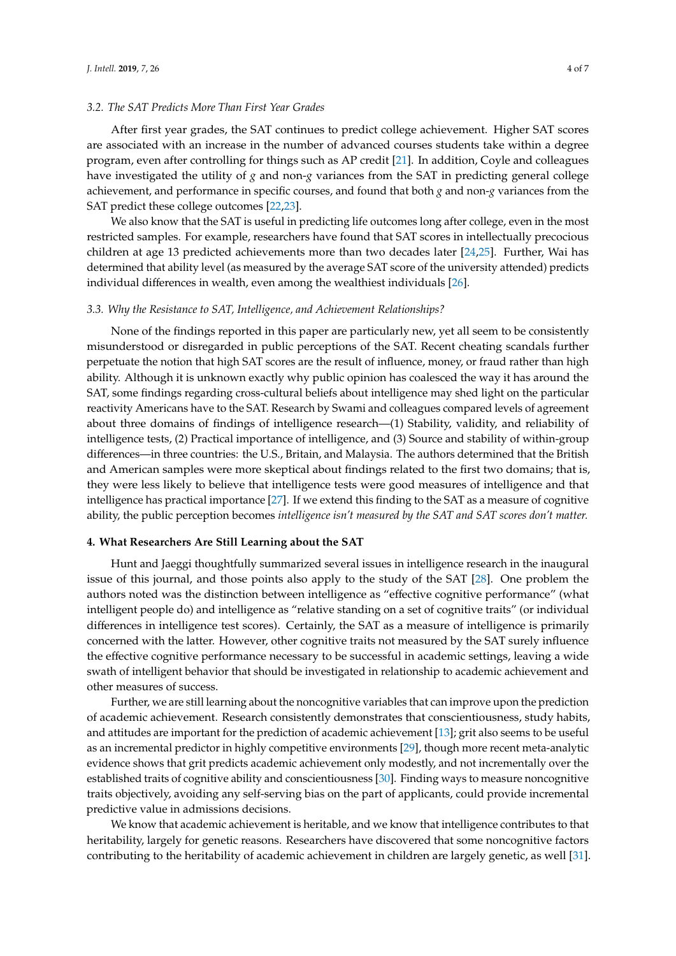# *3.2. The SAT Predicts More Than First Year Grades*

After first year grades, the SAT continues to predict college achievement. Higher SAT scores are associated with an increase in the number of advanced courses students take within a degree program, even after controlling for things such as AP credit [\[21\]](#page-5-12). In addition, Coyle and colleagues have investigated the utility of *g* and non-*g* variances from the SAT in predicting general college achievement, and performance in specific courses, and found that both *g* and non-*g* variances from the SAT predict these college outcomes [\[22,](#page-5-13)[23\]](#page-5-14).

We also know that the SAT is useful in predicting life outcomes long after college, even in the most restricted samples. For example, researchers have found that SAT scores in intellectually precocious children at age 13 predicted achievements more than two decades later [\[24,](#page-5-15)[25\]](#page-5-16). Further, Wai has determined that ability level (as measured by the average SAT score of the university attended) predicts individual differences in wealth, even among the wealthiest individuals [\[26\]](#page-5-17).

# *3.3. Why the Resistance to SAT, Intelligence, and Achievement Relationships?*

None of the findings reported in this paper are particularly new, yet all seem to be consistently misunderstood or disregarded in public perceptions of the SAT. Recent cheating scandals further perpetuate the notion that high SAT scores are the result of influence, money, or fraud rather than high ability. Although it is unknown exactly why public opinion has coalesced the way it has around the SAT, some findings regarding cross-cultural beliefs about intelligence may shed light on the particular reactivity Americans have to the SAT. Research by Swami and colleagues compared levels of agreement about three domains of findings of intelligence research—(1) Stability, validity, and reliability of intelligence tests, (2) Practical importance of intelligence, and (3) Source and stability of within-group differences—in three countries: the U.S., Britain, and Malaysia. The authors determined that the British and American samples were more skeptical about findings related to the first two domains; that is, they were less likely to believe that intelligence tests were good measures of intelligence and that intelligence has practical importance [\[27\]](#page-5-18). If we extend this finding to the SAT as a measure of cognitive ability, the public perception becomes *intelligence isn't measured by the SAT and SAT scores don't matter.*

# **4. What Researchers Are Still Learning about the SAT**

Hunt and Jaeggi thoughtfully summarized several issues in intelligence research in the inaugural issue of this journal, and those points also apply to the study of the SAT [\[28\]](#page-5-19). One problem the authors noted was the distinction between intelligence as "effective cognitive performance" (what intelligent people do) and intelligence as "relative standing on a set of cognitive traits" (or individual differences in intelligence test scores). Certainly, the SAT as a measure of intelligence is primarily concerned with the latter. However, other cognitive traits not measured by the SAT surely influence the effective cognitive performance necessary to be successful in academic settings, leaving a wide swath of intelligent behavior that should be investigated in relationship to academic achievement and other measures of success.

Further, we are still learning about the noncognitive variables that can improve upon the prediction of academic achievement. Research consistently demonstrates that conscientiousness, study habits, and attitudes are important for the prediction of academic achievement [\[13\]](#page-5-4); grit also seems to be useful as an incremental predictor in highly competitive environments [\[29\]](#page-5-20), though more recent meta-analytic evidence shows that grit predicts academic achievement only modestly, and not incrementally over the established traits of cognitive ability and conscientiousness [\[30\]](#page-5-21). Finding ways to measure noncognitive traits objectively, avoiding any self-serving bias on the part of applicants, could provide incremental predictive value in admissions decisions.

We know that academic achievement is heritable, and we know that intelligence contributes to that heritability, largely for genetic reasons. Researchers have discovered that some noncognitive factors contributing to the heritability of academic achievement in children are largely genetic, as well [\[31\]](#page-5-22).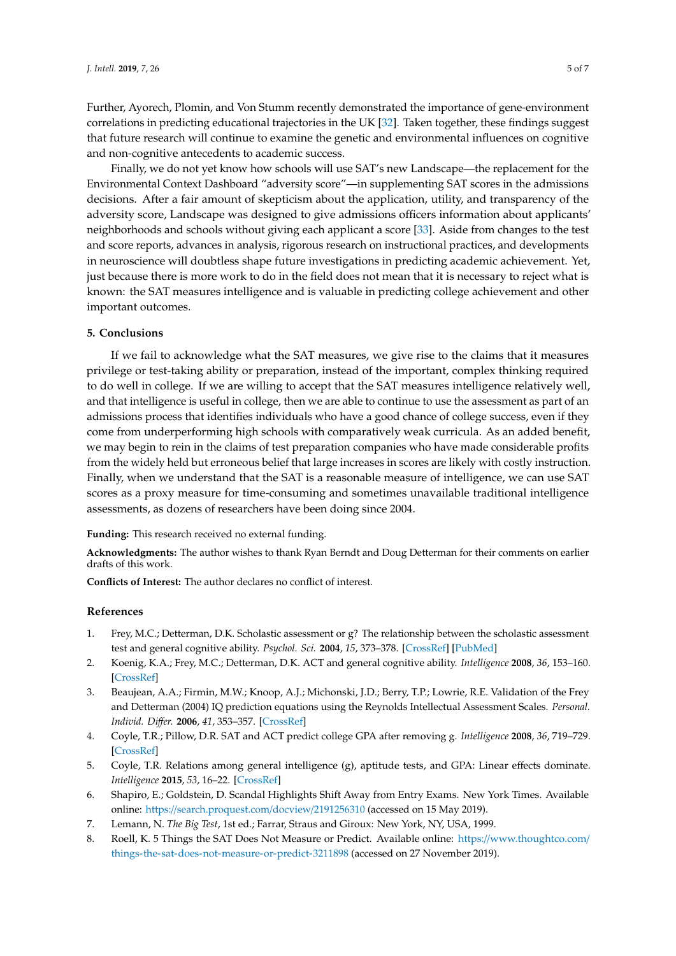Further, Ayorech, Plomin, and Von Stumm recently demonstrated the importance of gene-environment correlations in predicting educational trajectories in the UK [\[32\]](#page-6-0). Taken together, these findings suggest that future research will continue to examine the genetic and environmental influences on cognitive and non-cognitive antecedents to academic success.

Finally, we do not yet know how schools will use SAT's new Landscape—the replacement for the Environmental Context Dashboard "adversity score"—in supplementing SAT scores in the admissions decisions. After a fair amount of skepticism about the application, utility, and transparency of the adversity score, Landscape was designed to give admissions officers information about applicants' neighborhoods and schools without giving each applicant a score [\[33\]](#page-6-1). Aside from changes to the test and score reports, advances in analysis, rigorous research on instructional practices, and developments in neuroscience will doubtless shape future investigations in predicting academic achievement. Yet, just because there is more work to do in the field does not mean that it is necessary to reject what is known: the SAT measures intelligence and is valuable in predicting college achievement and other important outcomes.

## **5. Conclusions**

If we fail to acknowledge what the SAT measures, we give rise to the claims that it measures privilege or test-taking ability or preparation, instead of the important, complex thinking required to do well in college. If we are willing to accept that the SAT measures intelligence relatively well, and that intelligence is useful in college, then we are able to continue to use the assessment as part of an admissions process that identifies individuals who have a good chance of college success, even if they come from underperforming high schools with comparatively weak curricula. As an added benefit, we may begin to rein in the claims of test preparation companies who have made considerable profits from the widely held but erroneous belief that large increases in scores are likely with costly instruction. Finally, when we understand that the SAT is a reasonable measure of intelligence, we can use SAT scores as a proxy measure for time-consuming and sometimes unavailable traditional intelligence assessments, as dozens of researchers have been doing since 2004.

**Funding:** This research received no external funding.

**Acknowledgments:** The author wishes to thank Ryan Berndt and Doug Detterman for their comments on earlier drafts of this work.

**Conflicts of Interest:** The author declares no conflict of interest.

#### **References**

- <span id="page-4-0"></span>1. Frey, M.C.; Detterman, D.K. Scholastic assessment or g? The relationship between the scholastic assessment test and general cognitive ability. *Psychol. Sci.* **2004**, *15*, 373–378. [\[CrossRef\]](http://dx.doi.org/10.1111/j.0956-7976.2004.00687.x) [\[PubMed\]](http://www.ncbi.nlm.nih.gov/pubmed/15147489)
- <span id="page-4-1"></span>2. Koenig, K.A.; Frey, M.C.; Detterman, D.K. ACT and general cognitive ability. *Intelligence* **2008**, *36*, 153–160. [\[CrossRef\]](http://dx.doi.org/10.1016/j.intell.2007.03.005)
- <span id="page-4-2"></span>3. Beaujean, A.A.; Firmin, M.W.; Knoop, A.J.; Michonski, J.D.; Berry, T.P.; Lowrie, R.E. Validation of the Frey and Detterman (2004) IQ prediction equations using the Reynolds Intellectual Assessment Scales. *Personal. Individ. Di*ff*er.* **2006**, *41*, 353–357. [\[CrossRef\]](http://dx.doi.org/10.1016/j.paid.2006.01.014)
- 4. Coyle, T.R.; Pillow, D.R. SAT and ACT predict college GPA after removing g. *Intelligence* **2008**, *36*, 719–729. [\[CrossRef\]](http://dx.doi.org/10.1016/j.intell.2008.05.001)
- <span id="page-4-3"></span>5. Coyle, T.R. Relations among general intelligence (g), aptitude tests, and GPA: Linear effects dominate. *Intelligence* **2015**, *53*, 16–22. [\[CrossRef\]](http://dx.doi.org/10.1016/j.intell.2015.08.005)
- <span id="page-4-4"></span>6. Shapiro, E.; Goldstein, D. Scandal Highlights Shift Away from Entry Exams. New York Times. Available online: https://[search.proquest.com](https://search.proquest.com/docview/2191256310)/docview/2191256310 (accessed on 15 May 2019).
- <span id="page-4-5"></span>7. Lemann, N. *The Big Test*, 1st ed.; Farrar, Straus and Giroux: New York, NY, USA, 1999.
- <span id="page-4-6"></span>8. Roell, K. 5 Things the SAT Does Not Measure or Predict. Available online: https://[www.thoughtco.com](https://www.thoughtco.com/things-the-sat-does-not-measure-or-predict-3211898)/ [things-the-sat-does-not-measure-or-predict-3211898](https://www.thoughtco.com/things-the-sat-does-not-measure-or-predict-3211898) (accessed on 27 November 2019).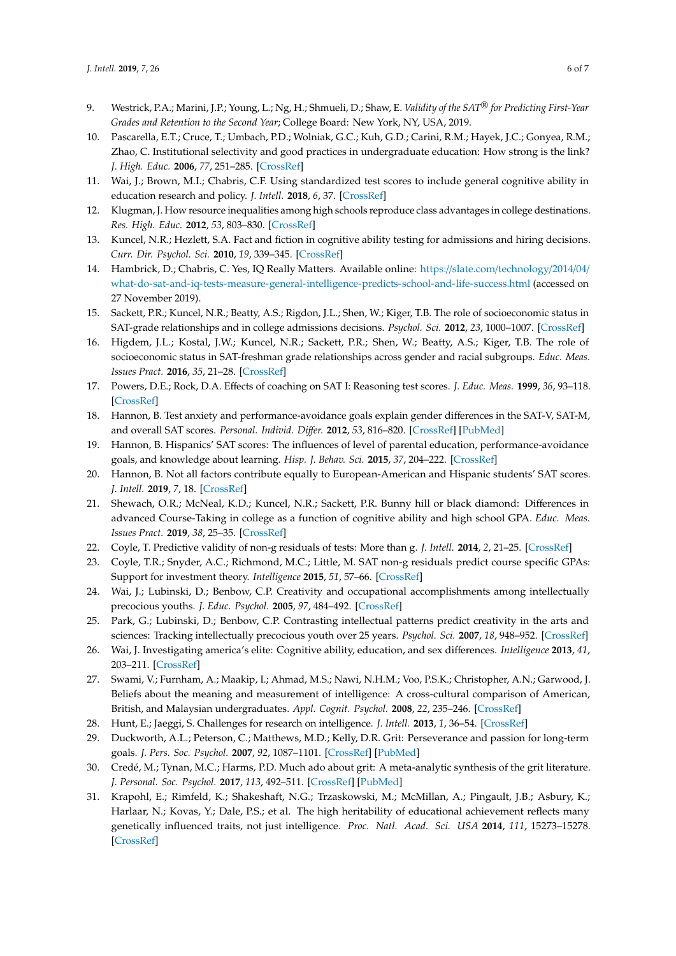- <span id="page-5-0"></span>9. Westrick, P.A.; Marini, J.P.; Young, L.; Ng, H.; Shmueli, D.; Shaw, E. *Validity of the SAT*® *for Predicting First-Year Grades and Retention to the Second Year*; College Board: New York, NY, USA, 2019.
- <span id="page-5-1"></span>10. Pascarella, E.T.; Cruce, T.; Umbach, P.D.; Wolniak, G.C.; Kuh, G.D.; Carini, R.M.; Hayek, J.C.; Gonyea, R.M.; Zhao, C. Institutional selectivity and good practices in undergraduate education: How strong is the link? *J. High. Educ.* **2006**, *77*, 251–285. [\[CrossRef\]](http://dx.doi.org/10.1353/jhe.2006.0016)
- <span id="page-5-2"></span>11. Wai, J.; Brown, M.I.; Chabris, C.F. Using standardized test scores to include general cognitive ability in education research and policy. *J. Intell.* **2018**, *6*, 37. [\[CrossRef\]](http://dx.doi.org/10.3390/jintelligence6030037)
- <span id="page-5-3"></span>12. Klugman, J. How resource inequalities among high schools reproduce class advantages in college destinations. *Res. High. Educ.* **2012**, *53*, 803–830. [\[CrossRef\]](http://dx.doi.org/10.1007/s11162-012-9261-8)
- <span id="page-5-4"></span>13. Kuncel, N.R.; Hezlett, S.A. Fact and fiction in cognitive ability testing for admissions and hiring decisions. *Curr. Dir. Psychol. Sci.* **2010**, *19*, 339–345. [\[CrossRef\]](http://dx.doi.org/10.1177/0963721410389459)
- <span id="page-5-5"></span>14. Hambrick, D.; Chabris, C. Yes, IQ Really Matters. Available online: https://slate.com/[technology](https://slate.com/technology/2014/04/what-do-sat-and-iq-tests-measure-general-intelligence-predicts-school-and-life-success.html)/2014/04/ [what-do-sat-and-iq-tests-measure-general-intelligence-predicts-school-and-life-success.html](https://slate.com/technology/2014/04/what-do-sat-and-iq-tests-measure-general-intelligence-predicts-school-and-life-success.html) (accessed on 27 November 2019).
- <span id="page-5-6"></span>15. Sackett, P.R.; Kuncel, N.R.; Beatty, A.S.; Rigdon, J.L.; Shen, W.; Kiger, T.B. The role of socioeconomic status in SAT-grade relationships and in college admissions decisions. *Psychol. Sci.* **2012**, *23*, 1000–1007. [\[CrossRef\]](http://dx.doi.org/10.1177/0956797612438732)
- <span id="page-5-7"></span>16. Higdem, J.L.; Kostal, J.W.; Kuncel, N.R.; Sackett, P.R.; Shen, W.; Beatty, A.S.; Kiger, T.B. The role of socioeconomic status in SAT-freshman grade relationships across gender and racial subgroups. *Educ. Meas. Issues Pract.* **2016**, *35*, 21–28. [\[CrossRef\]](http://dx.doi.org/10.1111/emip.12103)
- <span id="page-5-8"></span>17. Powers, D.E.; Rock, D.A. Effects of coaching on SAT I: Reasoning test scores. *J. Educ. Meas.* **1999**, *36*, 93–118. [\[CrossRef\]](http://dx.doi.org/10.1111/j.1745-3984.1999.tb00549.x)
- <span id="page-5-9"></span>18. Hannon, B. Test anxiety and performance-avoidance goals explain gender differences in the SAT-V, SAT-M, and overall SAT scores. *Personal. Individ. Di*ff*er.* **2012**, *53*, 816–820. [\[CrossRef\]](http://dx.doi.org/10.1016/j.paid.2012.06.003) [\[PubMed\]](http://www.ncbi.nlm.nih.gov/pubmed/23997382)
- <span id="page-5-10"></span>19. Hannon, B. Hispanics' SAT scores: The influences of level of parental education, performance-avoidance goals, and knowledge about learning. *Hisp. J. Behav. Sci.* **2015**, *37*, 204–222. [\[CrossRef\]](http://dx.doi.org/10.1177/0739986315573249)
- <span id="page-5-11"></span>20. Hannon, B. Not all factors contribute equally to European-American and Hispanic students' SAT scores. *J. Intell.* **2019**, *7*, 18. [\[CrossRef\]](http://dx.doi.org/10.3390/jintelligence7030018)
- <span id="page-5-12"></span>21. Shewach, O.R.; McNeal, K.D.; Kuncel, N.R.; Sackett, P.R. Bunny hill or black diamond: Differences in advanced Course-Taking in college as a function of cognitive ability and high school GPA. *Educ. Meas. Issues Pract.* **2019**, *38*, 25–35. [\[CrossRef\]](http://dx.doi.org/10.1111/emip.12212)
- <span id="page-5-14"></span><span id="page-5-13"></span>22. Coyle, T. Predictive validity of non-g residuals of tests: More than g. *J. Intell.* **2014**, *2*, 21–25. [\[CrossRef\]](http://dx.doi.org/10.3390/jintelligence2010021)
- 23. Coyle, T.R.; Snyder, A.C.; Richmond, M.C.; Little, M. SAT non-g residuals predict course specific GPAs: Support for investment theory. *Intelligence* **2015**, *51*, 57–66. [\[CrossRef\]](http://dx.doi.org/10.1016/j.intell.2015.05.003)
- <span id="page-5-15"></span>24. Wai, J.; Lubinski, D.; Benbow, C.P. Creativity and occupational accomplishments among intellectually precocious youths. *J. Educ. Psychol.* **2005**, *97*, 484–492. [\[CrossRef\]](http://dx.doi.org/10.1037/0022-0663.97.3.484)
- <span id="page-5-16"></span>25. Park, G.; Lubinski, D.; Benbow, C.P. Contrasting intellectual patterns predict creativity in the arts and sciences: Tracking intellectually precocious youth over 25 years. *Psychol. Sci.* **2007**, *18*, 948–952. [\[CrossRef\]](http://dx.doi.org/10.1111/j.1467-9280.2007.02007.x)
- <span id="page-5-17"></span>26. Wai, J. Investigating america's elite: Cognitive ability, education, and sex differences. *Intelligence* **2013**, *41*, 203–211. [\[CrossRef\]](http://dx.doi.org/10.1016/j.intell.2013.03.005)
- <span id="page-5-18"></span>27. Swami, V.; Furnham, A.; Maakip, I.; Ahmad, M.S.; Nawi, N.H.M.; Voo, P.S.K.; Christopher, A.N.; Garwood, J. Beliefs about the meaning and measurement of intelligence: A cross-cultural comparison of American, British, and Malaysian undergraduates. *Appl. Cognit. Psychol.* **2008**, *22*, 235–246. [\[CrossRef\]](http://dx.doi.org/10.1002/acp.1356)
- <span id="page-5-20"></span><span id="page-5-19"></span>28. Hunt, E.; Jaeggi, S. Challenges for research on intelligence. *J. Intell.* **2013**, *1*, 36–54. [\[CrossRef\]](http://dx.doi.org/10.3390/jintelligence1010036)
- 29. Duckworth, A.L.; Peterson, C.; Matthews, M.D.; Kelly, D.R. Grit: Perseverance and passion for long-term goals. *J. Pers. Soc. Psychol.* **2007**, *92*, 1087–1101. [\[CrossRef\]](http://dx.doi.org/10.1037/0022-3514.92.6.1087) [\[PubMed\]](http://www.ncbi.nlm.nih.gov/pubmed/17547490)
- <span id="page-5-21"></span>30. Credé, M.; Tynan, M.C.; Harms, P.D. Much ado about grit: A meta-analytic synthesis of the grit literature. *J. Personal. Soc. Psychol.* **2017**, *113*, 492–511. [\[CrossRef\]](http://dx.doi.org/10.1037/pspp0000102) [\[PubMed\]](http://www.ncbi.nlm.nih.gov/pubmed/27845531)
- <span id="page-5-22"></span>31. Krapohl, E.; Rimfeld, K.; Shakeshaft, N.G.; Trzaskowski, M.; McMillan, A.; Pingault, J.B.; Asbury, K.; Harlaar, N.; Kovas, Y.; Dale, P.S.; et al. The high heritability of educational achievement reflects many genetically influenced traits, not just intelligence. *Proc. Natl. Acad. Sci. USA* **2014**, *111*, 15273–15278. [\[CrossRef\]](http://dx.doi.org/10.1073/pnas.1408777111)